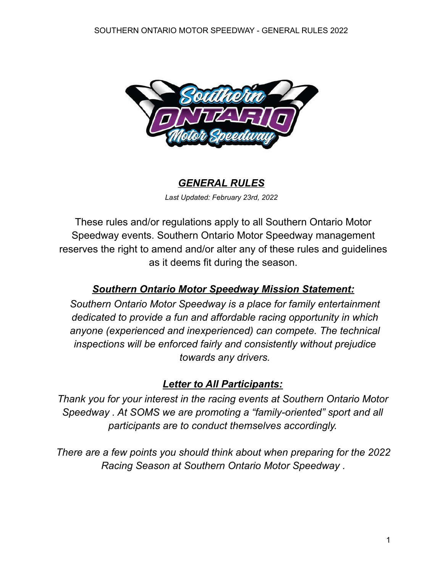

#### *GENERAL RULES*

*Last Updated: February 23rd, 2022*

These rules and/or regulations apply to all Southern Ontario Motor Speedway events. Southern Ontario Motor Speedway management reserves the right to amend and/or alter any of these rules and guidelines as it deems fit during the season.

### *Southern Ontario Motor Speedway Mission Statement:*

*Southern Ontario Motor Speedway is a place for family entertainment dedicated to provide a fun and affordable racing opportunity in which anyone (experienced and inexperienced) can compete. The technical inspections will be enforced fairly and consistently without prejudice towards any drivers.*

#### *Letter to All Participants:*

*Thank you for your interest in the racing events at Southern Ontario Motor Speedway . At SOMS we are promoting a "family-oriented" sport and all participants are to conduct themselves accordingly.*

*There are a few points you should think about when preparing for the 2022 Racing Season at Southern Ontario Motor Speedway .*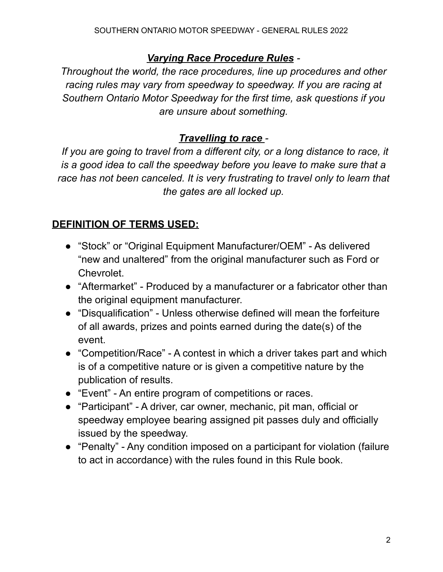### *Varying Race Procedure Rules -*

*Throughout the world, the race procedures, line up procedures and other racing rules may vary from speedway to speedway. If you are racing at Southern Ontario Motor Speedway for the first time, ask questions if you are unsure about something.*

### *Travelling to race -*

*If you are going to travel from a different city, or a long distance to race, it is a good idea to call the speedway before you leave to make sure that a race has not been canceled. It is very frustrating to travel only to learn that the gates are all locked up.*

# **DEFINITION OF TERMS USED:**

- "Stock" or "Original Equipment Manufacturer/OEM" As delivered "new and unaltered" from the original manufacturer such as Ford or Chevrolet.
- "Aftermarket" Produced by a manufacturer or a fabricator other than the original equipment manufacturer.
- "Disqualification" Unless otherwise defined will mean the forfeiture of all awards, prizes and points earned during the date(s) of the event.
- "Competition/Race" A contest in which a driver takes part and which is of a competitive nature or is given a competitive nature by the publication of results.
- "Event" An entire program of competitions or races.
- "Participant" A driver, car owner, mechanic, pit man, official or speedway employee bearing assigned pit passes duly and officially issued by the speedway.
- "Penalty" Any condition imposed on a participant for violation (failure to act in accordance) with the rules found in this Rule book.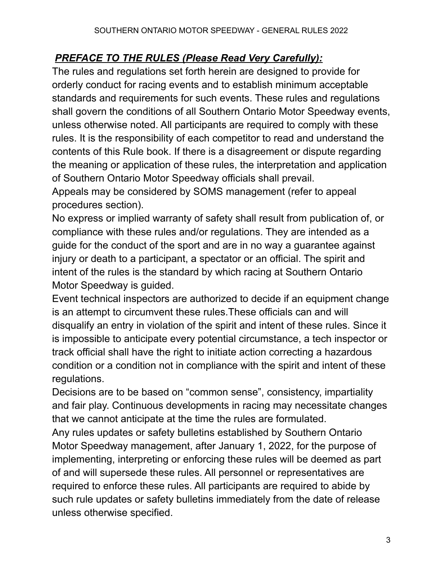### *PREFACE TO THE RULES (Please Read Very Carefully):*

The rules and regulations set forth herein are designed to provide for orderly conduct for racing events and to establish minimum acceptable standards and requirements for such events. These rules and regulations shall govern the conditions of all Southern Ontario Motor Speedway events, unless otherwise noted. All participants are required to comply with these rules. It is the responsibility of each competitor to read and understand the contents of this Rule book. If there is a disagreement or dispute regarding the meaning or application of these rules, the interpretation and application of Southern Ontario Motor Speedway officials shall prevail.

Appeals may be considered by SOMS management (refer to appeal procedures section).

No express or implied warranty of safety shall result from publication of, or compliance with these rules and/or regulations. They are intended as a guide for the conduct of the sport and are in no way a guarantee against injury or death to a participant, a spectator or an official. The spirit and intent of the rules is the standard by which racing at Southern Ontario Motor Speedway is guided.

Event technical inspectors are authorized to decide if an equipment change is an attempt to circumvent these rules.These officials can and will disqualify an entry in violation of the spirit and intent of these rules. Since it is impossible to anticipate every potential circumstance, a tech inspector or track official shall have the right to initiate action correcting a hazardous condition or a condition not in compliance with the spirit and intent of these regulations.

Decisions are to be based on "common sense", consistency, impartiality and fair play. Continuous developments in racing may necessitate changes that we cannot anticipate at the time the rules are formulated.

Any rules updates or safety bulletins established by Southern Ontario Motor Speedway management, after January 1, 2022, for the purpose of implementing, interpreting or enforcing these rules will be deemed as part of and will supersede these rules. All personnel or representatives are required to enforce these rules. All participants are required to abide by such rule updates or safety bulletins immediately from the date of release unless otherwise specified.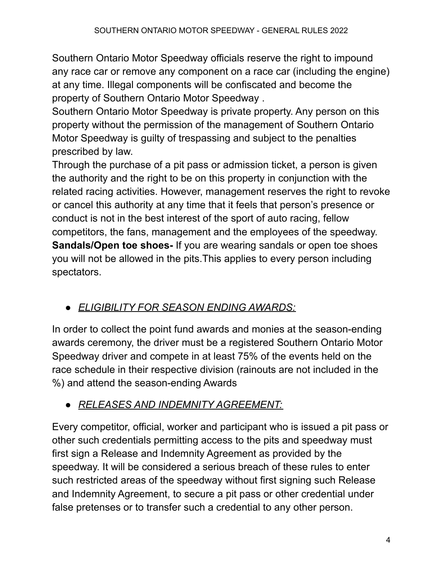Southern Ontario Motor Speedway officials reserve the right to impound any race car or remove any component on a race car (including the engine) at any time. Illegal components will be confiscated and become the property of Southern Ontario Motor Speedway .

Southern Ontario Motor Speedway is private property. Any person on this property without the permission of the management of Southern Ontario Motor Speedway is guilty of trespassing and subject to the penalties prescribed by law.

Through the purchase of a pit pass or admission ticket, a person is given the authority and the right to be on this property in conjunction with the related racing activities. However, management reserves the right to revoke or cancel this authority at any time that it feels that person's presence or conduct is not in the best interest of the sport of auto racing, fellow competitors, the fans, management and the employees of the speedway. **Sandals/Open toe shoes-** If you are wearing sandals or open toe shoes you will not be allowed in the pits.This applies to every person including spectators.

# ● *ELIGIBILITY FOR SEASON ENDING AWARDS:*

In order to collect the point fund awards and monies at the season-ending awards ceremony, the driver must be a registered Southern Ontario Motor Speedway driver and compete in at least 75% of the events held on the race schedule in their respective division (rainouts are not included in the %) and attend the season-ending Awards

# ● *RELEASES AND INDEMNITY AGREEMENT:*

Every competitor, official, worker and participant who is issued a pit pass or other such credentials permitting access to the pits and speedway must first sign a Release and Indemnity Agreement as provided by the speedway. It will be considered a serious breach of these rules to enter such restricted areas of the speedway without first signing such Release and Indemnity Agreement, to secure a pit pass or other credential under false pretenses or to transfer such a credential to any other person.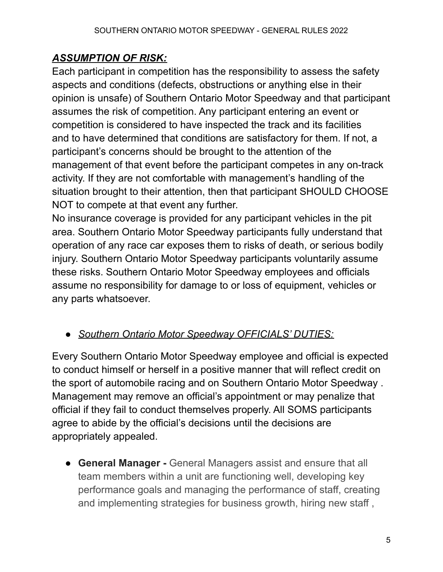# *ASSUMPTION OF RISK:*

Each participant in competition has the responsibility to assess the safety aspects and conditions (defects, obstructions or anything else in their opinion is unsafe) of Southern Ontario Motor Speedway and that participant assumes the risk of competition. Any participant entering an event or competition is considered to have inspected the track and its facilities and to have determined that conditions are satisfactory for them. If not, a participant's concerns should be brought to the attention of the management of that event before the participant competes in any on-track activity. If they are not comfortable with management's handling of the situation brought to their attention, then that participant SHOULD CHOOSE NOT to compete at that event any further.

No insurance coverage is provided for any participant vehicles in the pit area. Southern Ontario Motor Speedway participants fully understand that operation of any race car exposes them to risks of death, or serious bodily injury. Southern Ontario Motor Speedway participants voluntarily assume these risks. Southern Ontario Motor Speedway employees and officials assume no responsibility for damage to or loss of equipment, vehicles or any parts whatsoever.

# ● *Southern Ontario Motor Speedway OFFICIALS' DUTIES:*

Every Southern Ontario Motor Speedway employee and official is expected to conduct himself or herself in a positive manner that will reflect credit on the sport of automobile racing and on Southern Ontario Motor Speedway . Management may remove an official's appointment or may penalize that official if they fail to conduct themselves properly. All SOMS participants agree to abide by the official's decisions until the decisions are appropriately appealed.

● **General Manager -** General Managers assist and ensure that all team members within a unit are functioning well, developing key performance goals and managing the performance of staff, creating and implementing strategies for business growth, hiring new staff ,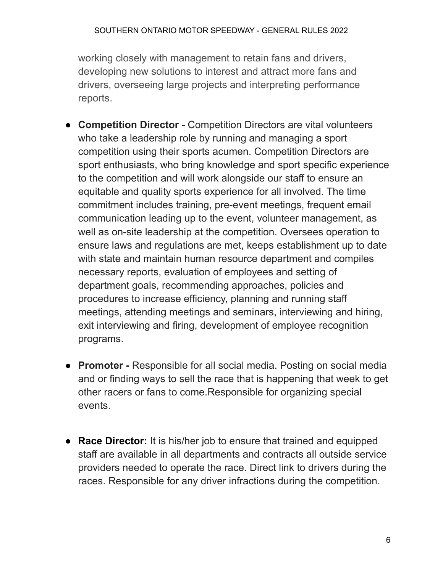working closely with management to retain fans and drivers, developing new solutions to interest and attract more fans and drivers, overseeing large projects and interpreting performance reports.

- **Competition Director -** Competition Directors are vital volunteers who take a leadership role by running and managing a sport competition using their sports acumen. Competition Directors are sport enthusiasts, who bring knowledge and sport specific experience to the competition and will work alongside our staff to ensure an equitable and quality sports experience for all involved. The time commitment includes training, pre-event meetings, frequent email communication leading up to the event, volunteer management, as well as on-site leadership at the competition. Oversees operation to ensure laws and regulations are met, keeps establishment up to date with state and maintain human resource department and compiles necessary reports, evaluation of employees and setting of department goals, recommending approaches, policies and procedures to increase efficiency, planning and running staff meetings, attending meetings and seminars, interviewing and hiring, exit interviewing and firing, development of employee recognition programs.
- **Promoter -** Responsible for all social media. Posting on social media and or finding ways to sell the race that is happening that week to get other racers or fans to come.Responsible for organizing special events.
- **Race Director:** It is his/her job to ensure that trained and equipped staff are available in all departments and contracts all outside service providers needed to operate the race. Direct link to drivers during the races. Responsible for any driver infractions during the competition.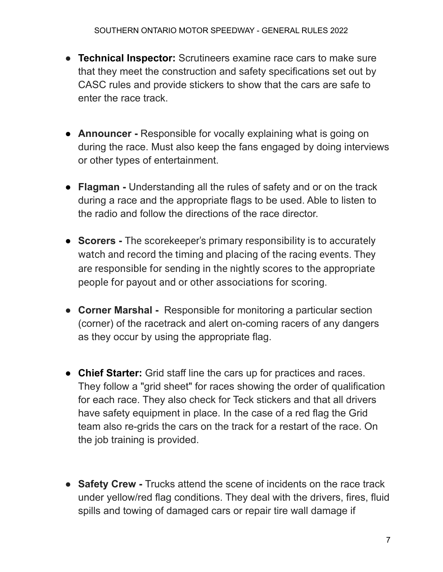- **Technical Inspector:** Scrutineers examine race cars to make sure that they meet the construction and safety specifications set out by CASC rules and provide stickers to show that the cars are safe to enter the race track.
- **Announcer -** Responsible for vocally explaining what is going on during the race. Must also keep the fans engaged by doing interviews or other types of entertainment.
- **Flagman -** Understanding all the rules of safety and or on the track during a race and the appropriate flags to be used. Able to listen to the radio and follow the directions of the race director.
- **Scorers -** The scorekeeper's primary responsibility is to accurately watch and record the timing and placing of the racing events. They are responsible for sending in the nightly scores to the appropriate people for payout and or other associations for scoring.
- **Corner Marshal -** Responsible for monitoring a particular section (corner) of the racetrack and alert on-coming racers of any dangers as they occur by using the appropriate flag.
- **Chief Starter:** Grid staff line the cars up for practices and races. They follow a "grid sheet" for races showing the order of qualification for each race. They also check for Teck stickers and that all drivers have safety equipment in place. In the case of a red flag the Grid team also re-grids the cars on the track for a restart of the race. On the job training is provided.
- **Safety Crew -** Trucks attend the scene of incidents on the race track under yellow/red flag conditions. They deal with the drivers, fires, fluid spills and towing of damaged cars or repair tire wall damage if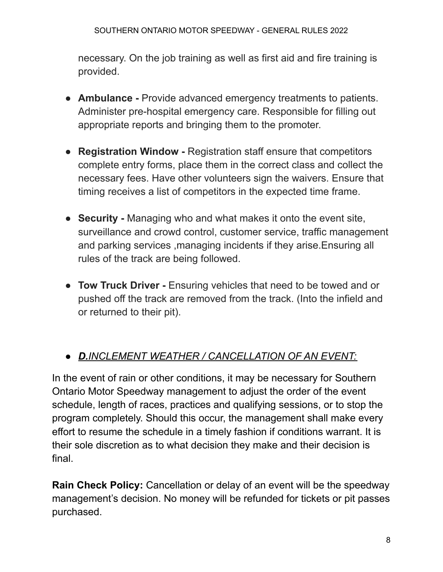necessary. On the job training as well as first aid and fire training is provided.

- **Ambulance -** Provide advanced emergency treatments to patients. Administer pre-hospital emergency care. Responsible for filling out appropriate reports and bringing them to the promoter.
- **Registration Window -** Registration staff ensure that competitors complete entry forms, place them in the correct class and collect the necessary fees. Have other volunteers sign the waivers. Ensure that timing receives a list of competitors in the expected time frame.
- **Security -** Managing who and what makes it onto the event site, surveillance and crowd control, customer service, traffic management and parking services ,managing incidents if they arise.Ensuring all rules of the track are being followed.
- **Tow Truck Driver -** Ensuring vehicles that need to be towed and or pushed off the track are removed from the track. (Into the infield and or returned to their pit).

# ● *D.INCLEMENT WEATHER / CANCELLATION OF AN EVENT:*

In the event of rain or other conditions, it may be necessary for Southern Ontario Motor Speedway management to adjust the order of the event schedule, length of races, practices and qualifying sessions, or to stop the program completely. Should this occur, the management shall make every effort to resume the schedule in a timely fashion if conditions warrant. It is their sole discretion as to what decision they make and their decision is final.

**Rain Check Policy:** Cancellation or delay of an event will be the speedway management's decision. No money will be refunded for tickets or pit passes purchased.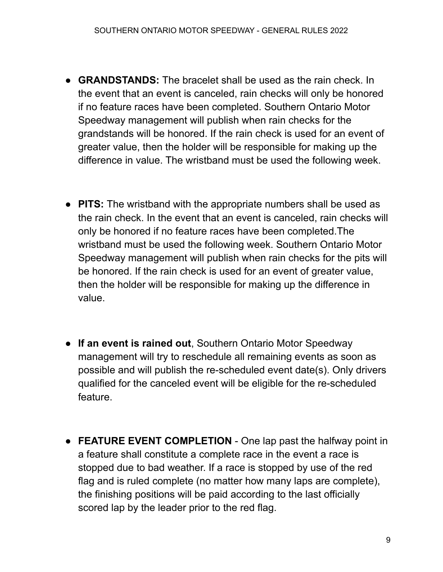- **GRANDSTANDS:** The bracelet shall be used as the rain check. In the event that an event is canceled, rain checks will only be honored if no feature races have been completed. Southern Ontario Motor Speedway management will publish when rain checks for the grandstands will be honored. If the rain check is used for an event of greater value, then the holder will be responsible for making up the difference in value. The wristband must be used the following week.
- **PITS:** The wristband with the appropriate numbers shall be used as the rain check. In the event that an event is canceled, rain checks will only be honored if no feature races have been completed.The wristband must be used the following week. Southern Ontario Motor Speedway management will publish when rain checks for the pits will be honored. If the rain check is used for an event of greater value, then the holder will be responsible for making up the difference in value.
- **If an event is rained out**, Southern Ontario Motor Speedway management will try to reschedule all remaining events as soon as possible and will publish the re-scheduled event date(s). Only drivers qualified for the canceled event will be eligible for the re-scheduled feature.
- **FEATURE EVENT COMPLETION** One lap past the halfway point in a feature shall constitute a complete race in the event a race is stopped due to bad weather. If a race is stopped by use of the red flag and is ruled complete (no matter how many laps are complete), the finishing positions will be paid according to the last officially scored lap by the leader prior to the red flag.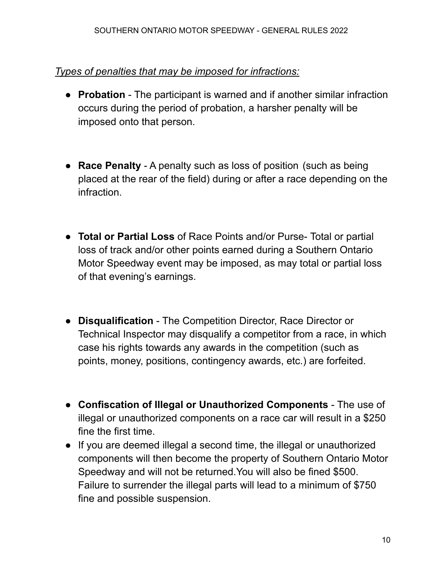#### *Types of penalties that may be imposed for infractions:*

- **Probation** The participant is warned and if another similar infraction occurs during the period of probation, a harsher penalty will be imposed onto that person.
- **Race Penalty** A penalty such as loss of position (such as being placed at the rear of the field) during or after a race depending on the infraction.
- **Total or Partial Loss** of Race Points and/or Purse- Total or partial loss of track and/or other points earned during a Southern Ontario Motor Speedway event may be imposed, as may total or partial loss of that evening's earnings.
- **Disqualification** The Competition Director, Race Director or Technical Inspector may disqualify a competitor from a race, in which case his rights towards any awards in the competition (such as points, money, positions, contingency awards, etc.) are forfeited.
- **Confiscation of Illegal or Unauthorized Components** The use of illegal or unauthorized components on a race car will result in a \$250 fine the first time.
- If you are deemed illegal a second time, the illegal or unauthorized components will then become the property of Southern Ontario Motor Speedway and will not be returned.You will also be fined \$500. Failure to surrender the illegal parts will lead to a minimum of \$750 fine and possible suspension.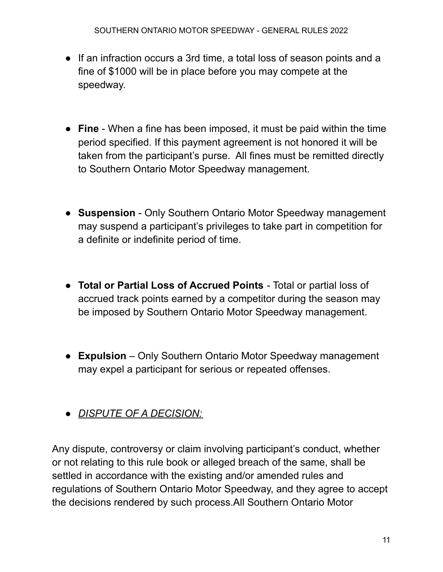- If an infraction occurs a 3rd time, a total loss of season points and a fine of \$1000 will be in place before you may compete at the speedway.
- **Fine** When a fine has been imposed, it must be paid within the time period specified. If this payment agreement is not honored it will be taken from the participant's purse. All fines must be remitted directly to Southern Ontario Motor Speedway management.
- **Suspension** Only Southern Ontario Motor Speedway management may suspend a participant's privileges to take part in competition for a definite or indefinite period of time.
- **Total or Partial Loss of Accrued Points** Total or partial loss of accrued track points earned by a competitor during the season may be imposed by Southern Ontario Motor Speedway management.
- **Expulsion** Only Southern Ontario Motor Speedway management may expel a participant for serious or repeated offenses.
- *DISPUTE OF A DECISION:*

Any dispute, controversy or claim involving participant's conduct, whether or not relating to this rule book or alleged breach of the same, shall be settled in accordance with the existing and/or amended rules and regulations of Southern Ontario Motor Speedway, and they agree to accept the decisions rendered by such process.All Southern Ontario Motor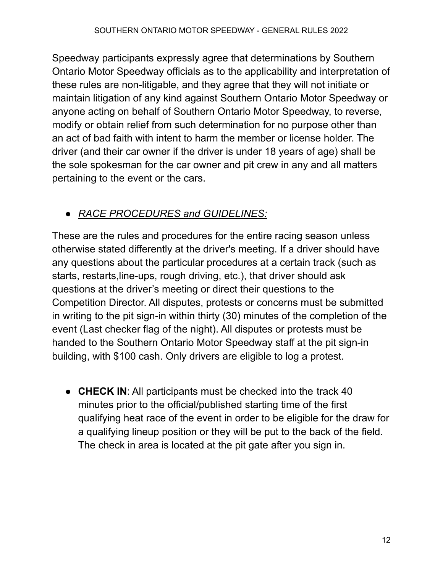Speedway participants expressly agree that determinations by Southern Ontario Motor Speedway officials as to the applicability and interpretation of these rules are non-litigable, and they agree that they will not initiate or maintain litigation of any kind against Southern Ontario Motor Speedway or anyone acting on behalf of Southern Ontario Motor Speedway, to reverse, modify or obtain relief from such determination for no purpose other than an act of bad faith with intent to harm the member or license holder. The driver (and their car owner if the driver is under 18 years of age) shall be the sole spokesman for the car owner and pit crew in any and all matters pertaining to the event or the cars.

# ● *RACE PROCEDURES and GUIDELINES:*

These are the rules and procedures for the entire racing season unless otherwise stated differently at the driver's meeting. If a driver should have any questions about the particular procedures at a certain track (such as starts, restarts,line-ups, rough driving, etc.), that driver should ask questions at the driver's meeting or direct their questions to the Competition Director. All disputes, protests or concerns must be submitted in writing to the pit sign-in within thirty (30) minutes of the completion of the event (Last checker flag of the night). All disputes or protests must be handed to the Southern Ontario Motor Speedway staff at the pit sign-in building, with \$100 cash. Only drivers are eligible to log a protest.

● **CHECK IN**: All participants must be checked into the track 40 minutes prior to the official/published starting time of the first qualifying heat race of the event in order to be eligible for the draw for a qualifying lineup position or they will be put to the back of the field. The check in area is located at the pit gate after you sign in.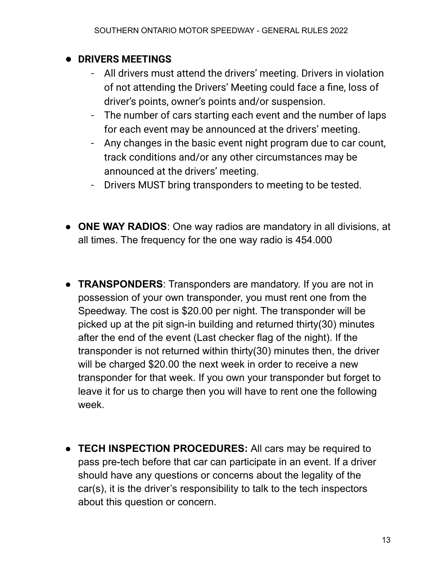### **● DRIVERS MEETINGS**

- All drivers must attend the drivers' meeting. Drivers in violation of not attending the Drivers' Meeting could face a fine, loss of driver's points, owner's points and/or suspension.
- The number of cars starting each event and the number of laps for each event may be announced at the drivers' meeting.
- Any changes in the basic event night program due to car count, track conditions and/or any other circumstances may be announced at the drivers' meeting.
- Drivers MUST bring transponders to meeting to be tested.
- **ONE WAY RADIOS**: One way radios are mandatory in all divisions, at all times. The frequency for the one way radio is 454.000
- **TRANSPONDERS**: Transponders are mandatory. If you are not in possession of your own transponder, you must rent one from the Speedway. The cost is \$20.00 per night. The transponder will be picked up at the pit sign-in building and returned thirty(30) minutes after the end of the event (Last checker flag of the night). If the transponder is not returned within thirty(30) minutes then, the driver will be charged \$20.00 the next week in order to receive a new transponder for that week. If you own your transponder but forget to leave it for us to charge then you will have to rent one the following week.
- **TECH INSPECTION PROCEDURES:** All cars may be required to pass pre-tech before that car can participate in an event. If a driver should have any questions or concerns about the legality of the car(s), it is the driver's responsibility to talk to the tech inspectors about this question or concern.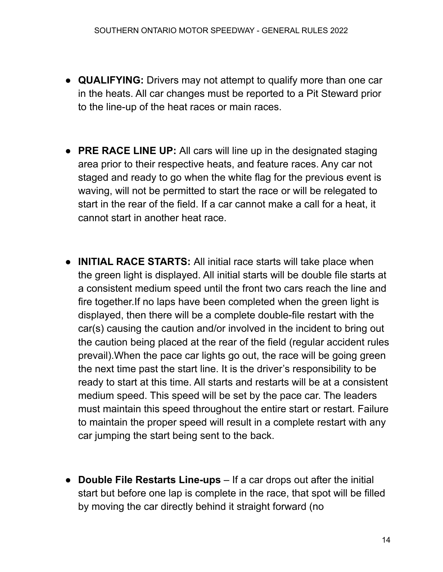- **QUALIFYING:** Drivers may not attempt to qualify more than one car in the heats. All car changes must be reported to a Pit Steward prior to the line-up of the heat races or main races.
- **PRE RACE LINE UP:** All cars will line up in the designated staging area prior to their respective heats, and feature races. Any car not staged and ready to go when the white flag for the previous event is waving, will not be permitted to start the race or will be relegated to start in the rear of the field. If a car cannot make a call for a heat, it cannot start in another heat race.
- **INITIAL RACE STARTS:** All initial race starts will take place when the green light is displayed. All initial starts will be double file starts at a consistent medium speed until the front two cars reach the line and fire together.If no laps have been completed when the green light is displayed, then there will be a complete double-file restart with the car(s) causing the caution and/or involved in the incident to bring out the caution being placed at the rear of the field (regular accident rules prevail).When the pace car lights go out, the race will be going green the next time past the start line. It is the driver's responsibility to be ready to start at this time. All starts and restarts will be at a consistent medium speed. This speed will be set by the pace car. The leaders must maintain this speed throughout the entire start or restart. Failure to maintain the proper speed will result in a complete restart with any car jumping the start being sent to the back.
- **Double File Restarts Line-ups** If a car drops out after the initial start but before one lap is complete in the race, that spot will be filled by moving the car directly behind it straight forward (no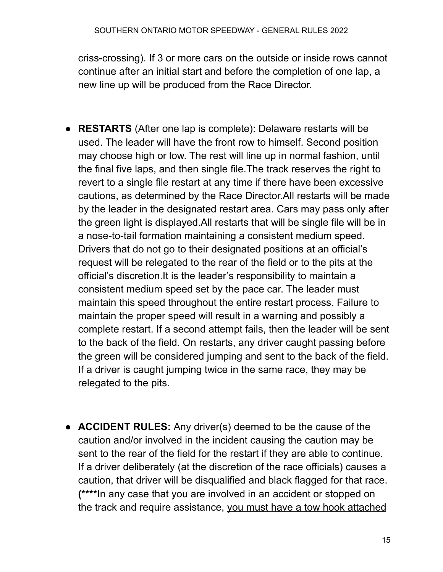criss-crossing). If 3 or more cars on the outside or inside rows cannot continue after an initial start and before the completion of one lap, a new line up will be produced from the Race Director.

- **RESTARTS** (After one lap is complete): Delaware restarts will be used. The leader will have the front row to himself. Second position may choose high or low. The rest will line up in normal fashion, until the final five laps, and then single file.The track reserves the right to revert to a single file restart at any time if there have been excessive cautions, as determined by the Race Director.All restarts will be made by the leader in the designated restart area. Cars may pass only after the green light is displayed.All restarts that will be single file will be in a nose-to-tail formation maintaining a consistent medium speed. Drivers that do not go to their designated positions at an official's request will be relegated to the rear of the field or to the pits at the official's discretion.It is the leader's responsibility to maintain a consistent medium speed set by the pace car. The leader must maintain this speed throughout the entire restart process. Failure to maintain the proper speed will result in a warning and possibly a complete restart. If a second attempt fails, then the leader will be sent to the back of the field. On restarts, any driver caught passing before the green will be considered jumping and sent to the back of the field. If a driver is caught jumping twice in the same race, they may be relegated to the pits.
- **ACCIDENT RULES:** Any driver(s) deemed to be the cause of the caution and/or involved in the incident causing the caution may be sent to the rear of the field for the restart if they are able to continue. If a driver deliberately (at the discretion of the race officials) causes a caution, that driver will be disqualified and black flagged for that race. **(\*\*\*\***In any case that you are involved in an accident or stopped on the track and require assistance, you must have a tow hook attached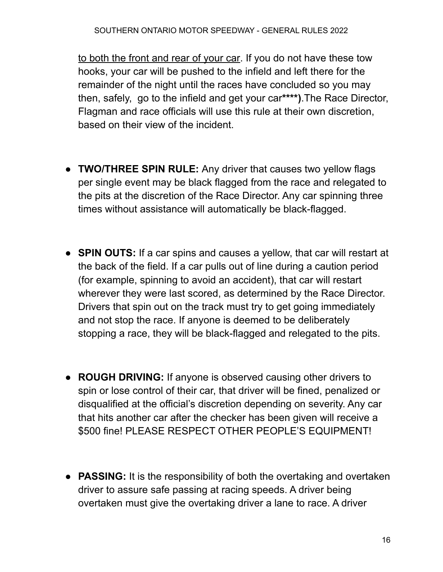to both the front and rear of your car. If you do not have these tow hooks, your car will be pushed to the infield and left there for the remainder of the night until the races have concluded so you may then, safely, go to the infield and get your car**\*\*\*\*)**.The Race Director, Flagman and race officials will use this rule at their own discretion, based on their view of the incident.

- **TWO/THREE SPIN RULE:** Any driver that causes two yellow flags per single event may be black flagged from the race and relegated to the pits at the discretion of the Race Director. Any car spinning three times without assistance will automatically be black-flagged.
- **SPIN OUTS:** If a car spins and causes a yellow, that car will restart at the back of the field. If a car pulls out of line during a caution period (for example, spinning to avoid an accident), that car will restart wherever they were last scored, as determined by the Race Director. Drivers that spin out on the track must try to get going immediately and not stop the race. If anyone is deemed to be deliberately stopping a race, they will be black-flagged and relegated to the pits.
- **ROUGH DRIVING:** If anyone is observed causing other drivers to spin or lose control of their car, that driver will be fined, penalized or disqualified at the official's discretion depending on severity. Any car that hits another car after the checker has been given will receive a \$500 fine! PLEASE RESPECT OTHER PEOPLE'S EQUIPMENT!
- **PASSING:** It is the responsibility of both the overtaking and overtaken driver to assure safe passing at racing speeds. A driver being overtaken must give the overtaking driver a lane to race. A driver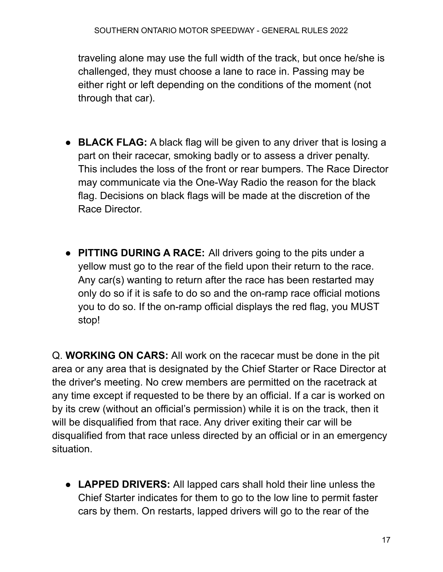traveling alone may use the full width of the track, but once he/she is challenged, they must choose a lane to race in. Passing may be either right or left depending on the conditions of the moment (not through that car).

- **BLACK FLAG:** A black flag will be given to any driver that is losing a part on their racecar, smoking badly or to assess a driver penalty. This includes the loss of the front or rear bumpers. The Race Director may communicate via the One-Way Radio the reason for the black flag. Decisions on black flags will be made at the discretion of the Race Director.
- **PITTING DURING A RACE:** All drivers going to the pits under a yellow must go to the rear of the field upon their return to the race. Any car(s) wanting to return after the race has been restarted may only do so if it is safe to do so and the on-ramp race official motions you to do so. If the on-ramp official displays the red flag, you MUST stop!

Q. **WORKING ON CARS:** All work on the racecar must be done in the pit area or any area that is designated by the Chief Starter or Race Director at the driver's meeting. No crew members are permitted on the racetrack at any time except if requested to be there by an official. If a car is worked on by its crew (without an official's permission) while it is on the track, then it will be disqualified from that race. Any driver exiting their car will be disqualified from that race unless directed by an official or in an emergency situation.

● **LAPPED DRIVERS:** All lapped cars shall hold their line unless the Chief Starter indicates for them to go to the low line to permit faster cars by them. On restarts, lapped drivers will go to the rear of the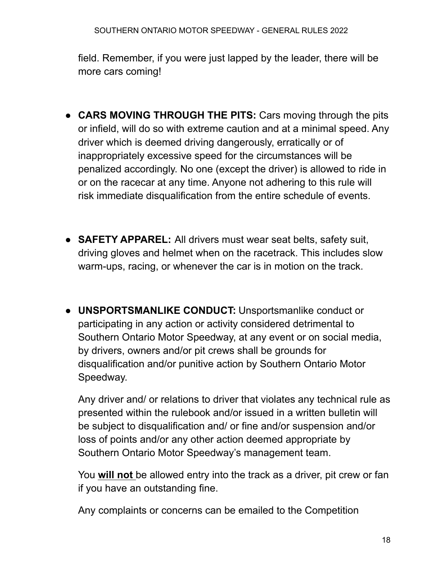field. Remember, if you were just lapped by the leader, there will be more cars coming!

- **CARS MOVING THROUGH THE PITS:** Cars moving through the pits or infield, will do so with extreme caution and at a minimal speed. Any driver which is deemed driving dangerously, erratically or of inappropriately excessive speed for the circumstances will be penalized accordingly. No one (except the driver) is allowed to ride in or on the racecar at any time. Anyone not adhering to this rule will risk immediate disqualification from the entire schedule of events.
- **SAFETY APPAREL:** All drivers must wear seat belts, safety suit, driving gloves and helmet when on the racetrack. This includes slow warm-ups, racing, or whenever the car is in motion on the track.
- **UNSPORTSMANLIKE CONDUCT:** Unsportsmanlike conduct or participating in any action or activity considered detrimental to Southern Ontario Motor Speedway, at any event or on social media, by drivers, owners and/or pit crews shall be grounds for disqualification and/or punitive action by Southern Ontario Motor Speedway.

Any driver and/ or relations to driver that violates any technical rule as presented within the rulebook and/or issued in a written bulletin will be subject to disqualification and/ or fine and/or suspension and/or loss of points and/or any other action deemed appropriate by Southern Ontario Motor Speedway's management team.

You **will not** be allowed entry into the track as a driver, pit crew or fan if you have an outstanding fine.

Any complaints or concerns can be emailed to the Competition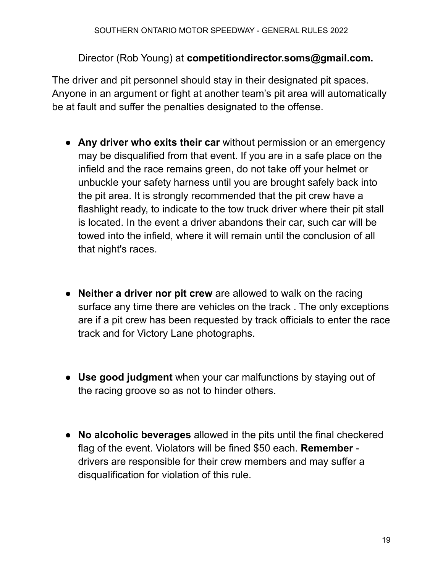### Director (Rob Young) at **competitiondirector.soms@gmail.com.**

The driver and pit personnel should stay in their designated pit spaces. Anyone in an argument or fight at another team's pit area will automatically be at fault and suffer the penalties designated to the offense.

- **Any driver who exits their car** without permission or an emergency may be disqualified from that event. If you are in a safe place on the infield and the race remains green, do not take off your helmet or unbuckle your safety harness until you are brought safely back into the pit area. It is strongly recommended that the pit crew have a flashlight ready, to indicate to the tow truck driver where their pit stall is located. In the event a driver abandons their car, such car will be towed into the infield, where it will remain until the conclusion of all that night's races.
- **Neither a driver nor pit crew** are allowed to walk on the racing surface any time there are vehicles on the track . The only exceptions are if a pit crew has been requested by track officials to enter the race track and for Victory Lane photographs.
- **Use good judgment** when your car malfunctions by staying out of the racing groove so as not to hinder others.
- **No alcoholic beverages** allowed in the pits until the final checkered flag of the event. Violators will be fined \$50 each. **Remember** drivers are responsible for their crew members and may suffer a disqualification for violation of this rule.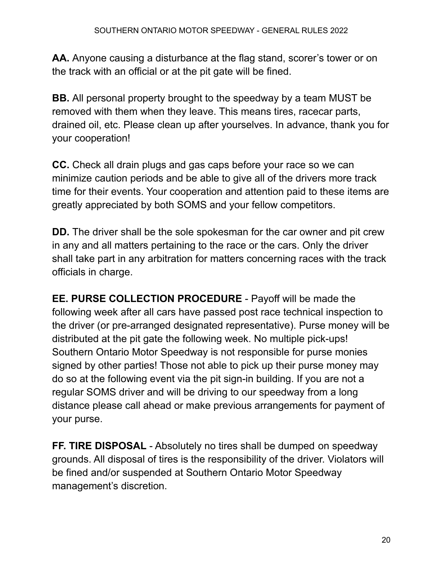**AA.** Anyone causing a disturbance at the flag stand, scorer's tower or on the track with an official or at the pit gate will be fined.

**BB.** All personal property brought to the speedway by a team MUST be removed with them when they leave. This means tires, racecar parts, drained oil, etc. Please clean up after yourselves. In advance, thank you for your cooperation!

**CC.** Check all drain plugs and gas caps before your race so we can minimize caution periods and be able to give all of the drivers more track time for their events. Your cooperation and attention paid to these items are greatly appreciated by both SOMS and your fellow competitors.

**DD.** The driver shall be the sole spokesman for the car owner and pit crew in any and all matters pertaining to the race or the cars. Only the driver shall take part in any arbitration for matters concerning races with the track officials in charge.

**EE. PURSE COLLECTION PROCEDURE** - Payoff will be made the following week after all cars have passed post race technical inspection to the driver (or pre-arranged designated representative). Purse money will be distributed at the pit gate the following week. No multiple pick-ups! Southern Ontario Motor Speedway is not responsible for purse monies signed by other parties! Those not able to pick up their purse money may do so at the following event via the pit sign-in building. If you are not a regular SOMS driver and will be driving to our speedway from a long distance please call ahead or make previous arrangements for payment of your purse.

**FF. TIRE DISPOSAL** - Absolutely no tires shall be dumped on speedway grounds. All disposal of tires is the responsibility of the driver. Violators will be fined and/or suspended at Southern Ontario Motor Speedway management's discretion.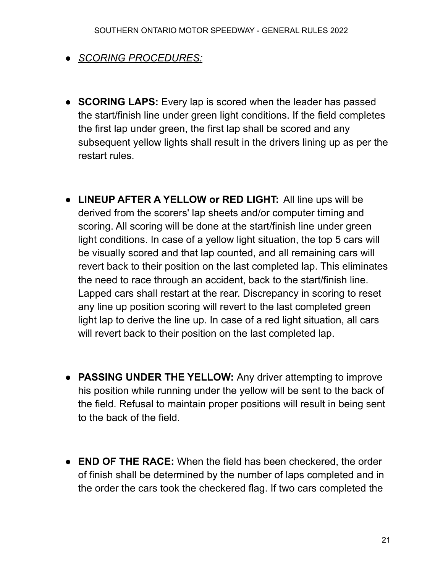- *SCORING PROCEDURES:*
- **SCORING LAPS:** Every lap is scored when the leader has passed the start/finish line under green light conditions. If the field completes the first lap under green, the first lap shall be scored and any subsequent yellow lights shall result in the drivers lining up as per the restart rules.
- **LINEUP AFTER A YELLOW or RED LIGHT:** All line ups will be derived from the scorers' lap sheets and/or computer timing and scoring. All scoring will be done at the start/finish line under green light conditions. In case of a yellow light situation, the top 5 cars will be visually scored and that lap counted, and all remaining cars will revert back to their position on the last completed lap. This eliminates the need to race through an accident, back to the start/finish line. Lapped cars shall restart at the rear. Discrepancy in scoring to reset any line up position scoring will revert to the last completed green light lap to derive the line up. In case of a red light situation, all cars will revert back to their position on the last completed lap.
- **PASSING UNDER THE YELLOW:** Any driver attempting to improve his position while running under the yellow will be sent to the back of the field. Refusal to maintain proper positions will result in being sent to the back of the field.
- **END OF THE RACE:** When the field has been checkered, the order of finish shall be determined by the number of laps completed and in the order the cars took the checkered flag. If two cars completed the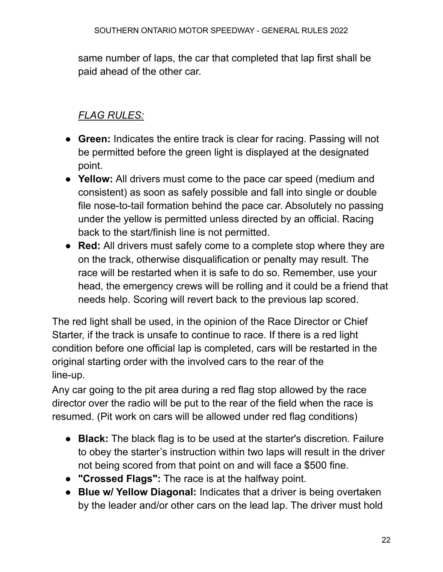same number of laps, the car that completed that lap first shall be paid ahead of the other car.

# *FLAG RULES:*

- **Green:** Indicates the entire track is clear for racing. Passing will not be permitted before the green light is displayed at the designated point.
- **Yellow:** All drivers must come to the pace car speed (medium and consistent) as soon as safely possible and fall into single or double file nose-to-tail formation behind the pace car. Absolutely no passing under the yellow is permitted unless directed by an official. Racing back to the start/finish line is not permitted.
- **Red:** All drivers must safely come to a complete stop where they are on the track, otherwise disqualification or penalty may result. The race will be restarted when it is safe to do so. Remember, use your head, the emergency crews will be rolling and it could be a friend that needs help. Scoring will revert back to the previous lap scored.

The red light shall be used, in the opinion of the Race Director or Chief Starter, if the track is unsafe to continue to race. If there is a red light condition before one official lap is completed, cars will be restarted in the original starting order with the involved cars to the rear of the line-up.

Any car going to the pit area during a red flag stop allowed by the race director over the radio will be put to the rear of the field when the race is resumed. (Pit work on cars will be allowed under red flag conditions)

- **Black:** The black flag is to be used at the starter's discretion. Failure to obey the starter's instruction within two laps will result in the driver not being scored from that point on and will face a \$500 fine.
- **"Crossed Flags":** The race is at the halfway point.
- **Blue w/ Yellow Diagonal:** Indicates that a driver is being overtaken by the leader and/or other cars on the lead lap. The driver must hold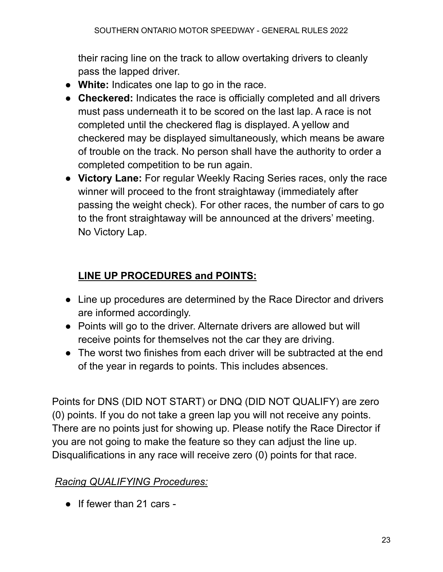their racing line on the track to allow overtaking drivers to cleanly pass the lapped driver.

- **White:** Indicates one lap to go in the race.
- **Checkered:** Indicates the race is officially completed and all drivers must pass underneath it to be scored on the last lap. A race is not completed until the checkered flag is displayed. A yellow and checkered may be displayed simultaneously, which means be aware of trouble on the track. No person shall have the authority to order a completed competition to be run again.
- **Victory Lane:** For regular Weekly Racing Series races, only the race winner will proceed to the front straightaway (immediately after passing the weight check). For other races, the number of cars to go to the front straightaway will be announced at the drivers' meeting. No Victory Lap.

# **LINE UP PROCEDURES and POINTS:**

- Line up procedures are determined by the Race Director and drivers are informed accordingly.
- Points will go to the driver. Alternate drivers are allowed but will receive points for themselves not the car they are driving.
- The worst two finishes from each driver will be subtracted at the end of the year in regards to points. This includes absences.

Points for DNS (DID NOT START) or DNQ (DID NOT QUALIFY) are zero (0) points. If you do not take a green lap you will not receive any points. There are no points just for showing up. Please notify the Race Director if you are not going to make the feature so they can adjust the line up. Disqualifications in any race will receive zero (0) points for that race.

# *Racing QUALIFYING Procedures:*

● If fewer than 21 cars -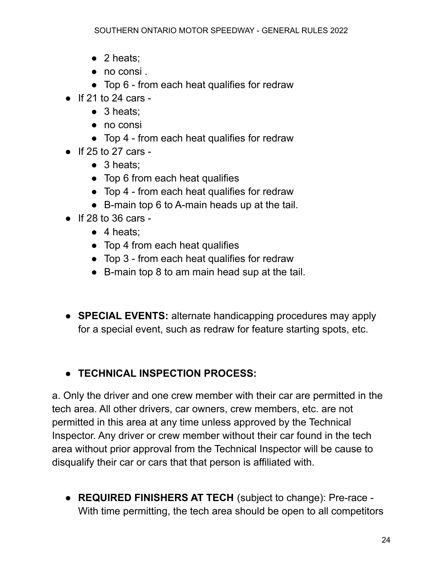- $\bullet$  2 heats;
- no consi .
- Top 6 from each heat qualifies for redraw
- $\bullet$  If 21 to 24 cars -
	- $\bullet$  3 heats:
	- no consi
	- Top 4 from each heat qualifies for redraw
- If 25 to 27 cars
	- 3 heats:
	- Top 6 from each heat qualifies
	- Top 4 from each heat qualifies for redraw
	- B-main top 6 to A-main heads up at the tail.
- $\bullet$  If 28 to 36 cars -
	- $\bullet$  4 heats:
	- Top 4 from each heat qualifies
	- Top 3 from each heat qualifies for redraw
	- B-main top 8 to am main head sup at the tail.
- **SPECIAL EVENTS:** alternate handicapping procedures may apply for a special event, such as redraw for feature starting spots, etc.

# ● **TECHNICAL INSPECTION PROCESS:**

a. Only the driver and one crew member with their car are permitted in the tech area. All other drivers, car owners, crew members, etc. are not permitted in this area at any time unless approved by the Technical Inspector. Any driver or crew member without their car found in the tech area without prior approval from the Technical Inspector will be cause to disqualify their car or cars that that person is affiliated with.

● **REQUIRED FINISHERS AT TECH** (subject to change): Pre-race - With time permitting, the tech area should be open to all competitors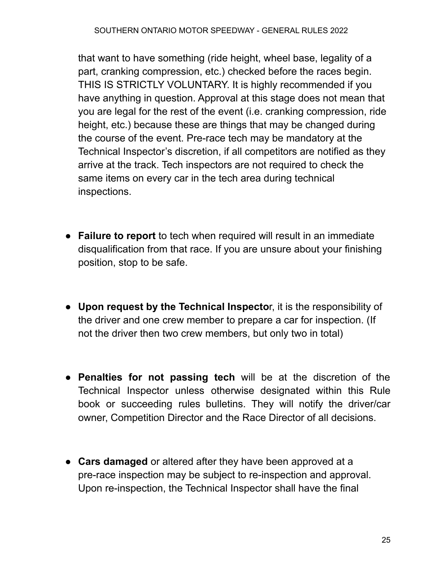that want to have something (ride height, wheel base, legality of a part, cranking compression, etc.) checked before the races begin. THIS IS STRICTLY VOLUNTARY. It is highly recommended if you have anything in question. Approval at this stage does not mean that you are legal for the rest of the event (i.e. cranking compression, ride height, etc.) because these are things that may be changed during the course of the event. Pre-race tech may be mandatory at the Technical Inspector's discretion, if all competitors are notified as they arrive at the track. Tech inspectors are not required to check the same items on every car in the tech area during technical inspections.

- **Failure to report** to tech when required will result in an immediate disqualification from that race. If you are unsure about your finishing position, stop to be safe.
- **Upon request by the Technical Inspecto**r, it is the responsibility of the driver and one crew member to prepare a car for inspection. (If not the driver then two crew members, but only two in total)
- **Penalties for not passing tech** will be at the discretion of the Technical Inspector unless otherwise designated within this Rule book or succeeding rules bulletins. They will notify the driver/car owner, Competition Director and the Race Director of all decisions.
- **Cars damaged** or altered after they have been approved at a pre-race inspection may be subject to re-inspection and approval. Upon re-inspection, the Technical Inspector shall have the final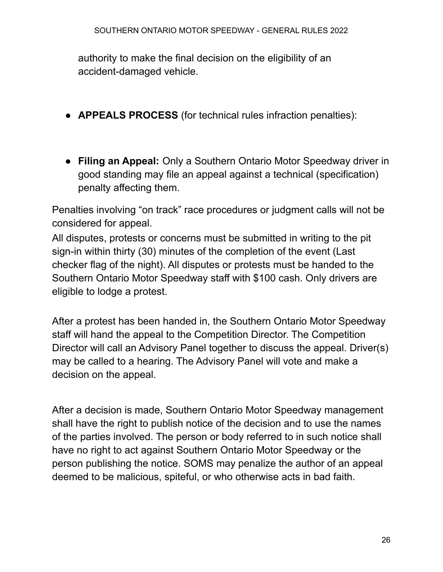authority to make the final decision on the eligibility of an accident-damaged vehicle.

- **APPEALS PROCESS** (for technical rules infraction penalties):
- **Filing an Appeal:** Only a Southern Ontario Motor Speedway driver in good standing may file an appeal against a technical (specification) penalty affecting them.

Penalties involving "on track" race procedures or judgment calls will not be considered for appeal.

All disputes, protests or concerns must be submitted in writing to the pit sign-in within thirty (30) minutes of the completion of the event (Last checker flag of the night). All disputes or protests must be handed to the Southern Ontario Motor Speedway staff with \$100 cash. Only drivers are eligible to lodge a protest.

After a protest has been handed in, the Southern Ontario Motor Speedway staff will hand the appeal to the Competition Director. The Competition Director will call an Advisory Panel together to discuss the appeal. Driver(s) may be called to a hearing. The Advisory Panel will vote and make a decision on the appeal.

After a decision is made, Southern Ontario Motor Speedway management shall have the right to publish notice of the decision and to use the names of the parties involved. The person or body referred to in such notice shall have no right to act against Southern Ontario Motor Speedway or the person publishing the notice. SOMS may penalize the author of an appeal deemed to be malicious, spiteful, or who otherwise acts in bad faith.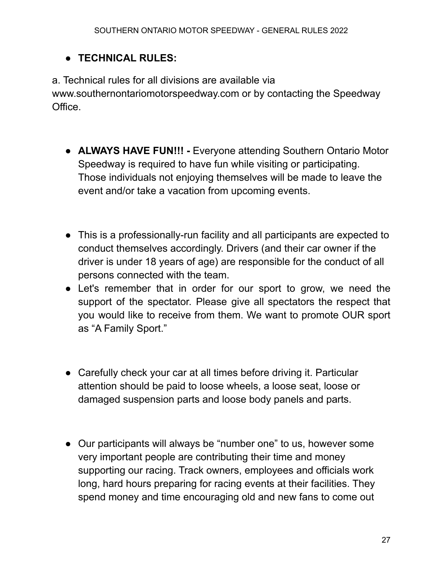### ● **TECHNICAL RULES:**

a. Technical rules for all divisions are available via www.southernontariomotorspeedway.com or by contacting the Speedway Office.

- **ALWAYS HAVE FUN!!! -** Everyone attending Southern Ontario Motor Speedway is required to have fun while visiting or participating. Those individuals not enjoying themselves will be made to leave the event and/or take a vacation from upcoming events.
- This is a professionally-run facility and all participants are expected to conduct themselves accordingly. Drivers (and their car owner if the driver is under 18 years of age) are responsible for the conduct of all persons connected with the team.
- Let's remember that in order for our sport to grow, we need the support of the spectator. Please give all spectators the respect that you would like to receive from them. We want to promote OUR sport as "A Family Sport."
- Carefully check your car at all times before driving it. Particular attention should be paid to loose wheels, a loose seat, loose or damaged suspension parts and loose body panels and parts.
- Our participants will always be "number one" to us, however some very important people are contributing their time and money supporting our racing. Track owners, employees and officials work long, hard hours preparing for racing events at their facilities. They spend money and time encouraging old and new fans to come out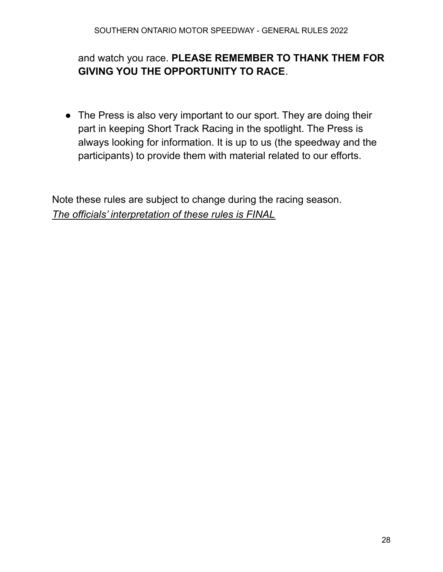### and watch you race. **PLEASE REMEMBER TO THANK THEM FOR GIVING YOU THE OPPORTUNITY TO RACE**.

• The Press is also very important to our sport. They are doing their part in keeping Short Track Racing in the spotlight. The Press is always looking for information. It is up to us (the speedway and the participants) to provide them with material related to our efforts.

Note these rules are subject to change during the racing season. *The officials' interpretation of these rules is FINAL*